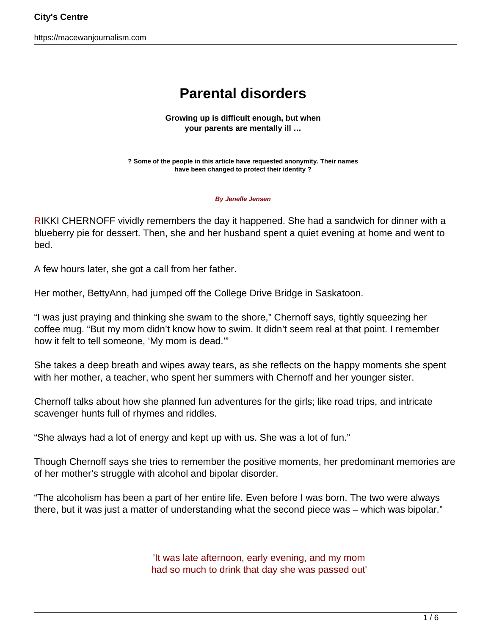https://macewanjournalism.com

# **Parental disorders**

**Growing up is difficult enough, but when your parents are mentally ill …**

**? Some of the people in this article have requested anonymity. Their names have been changed to protect their identity ?**

#### **By Jenelle Jensen**

RIKKI CHERNOFF vividly remembers the day it happened. She had a sandwich for dinner with a blueberry pie for dessert. Then, she and her husband spent a quiet evening at home and went to bed.

A few hours later, she got a call from her father.

Her mother, BettyAnn, had jumped off the College Drive Bridge in Saskatoon.

"I was just praying and thinking she swam to the shore," Chernoff says, tightly squeezing her coffee mug. "But my mom didn't know how to swim. It didn't seem real at that point. I remember how it felt to tell someone, 'My mom is dead.'"

She takes a deep breath and wipes away tears, as she reflects on the happy moments she spent with her mother, a teacher, who spent her summers with Chernoff and her younger sister.

Chernoff talks about how she planned fun adventures for the girls; like road trips, and intricate scavenger hunts full of rhymes and riddles.

"She always had a lot of energy and kept up with us. She was a lot of fun."

Though Chernoff says she tries to remember the positive moments, her predominant memories are of her mother's struggle with alcohol and bipolar disorder.

"The alcoholism has been a part of her entire life. Even before I was born. The two were always there, but it was just a matter of understanding what the second piece was – which was bipolar."

> 'It was late afternoon, early evening, and my mom had so much to drink that day she was passed out'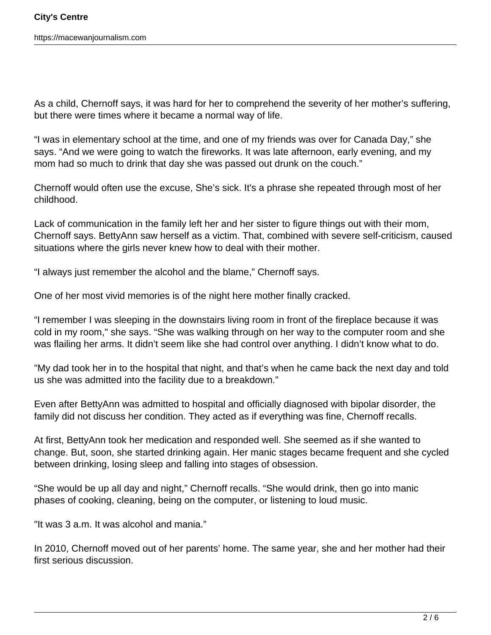As a child, Chernoff says, it was hard for her to comprehend the severity of her mother's suffering, but there were times where it became a normal way of life.

"I was in elementary school at the time, and one of my friends was over for Canada Day," she says. "And we were going to watch the fireworks. It was late afternoon, early evening, and my mom had so much to drink that day she was passed out drunk on the couch."

Chernoff would often use the excuse, She's sick. It's a phrase she repeated through most of her childhood.

Lack of communication in the family left her and her sister to figure things out with their mom, Chernoff says. BettyAnn saw herself as a victim. That, combined with severe self-criticism, caused situations where the girls never knew how to deal with their mother.

"I always just remember the alcohol and the blame," Chernoff says.

One of her most vivid memories is of the night here mother finally cracked.

"I remember I was sleeping in the downstairs living room in front of the fireplace because it was cold in my room," she says. "She was walking through on her way to the computer room and she was flailing her arms. It didn't seem like she had control over anything. I didn't know what to do.

"My dad took her in to the hospital that night, and that's when he came back the next day and told us she was admitted into the facility due to a breakdown."

Even after BettyAnn was admitted to hospital and officially diagnosed with bipolar disorder, the family did not discuss her condition. They acted as if everything was fine, Chernoff recalls.

At first, BettyAnn took her medication and responded well. She seemed as if she wanted to change. But, soon, she started drinking again. Her manic stages became frequent and she cycled between drinking, losing sleep and falling into stages of obsession.

"She would be up all day and night," Chernoff recalls. "She would drink, then go into manic phases of cooking, cleaning, being on the computer, or listening to loud music.

"It was 3 a.m. It was alcohol and mania."

In 2010, Chernoff moved out of her parents' home. The same year, she and her mother had their first serious discussion.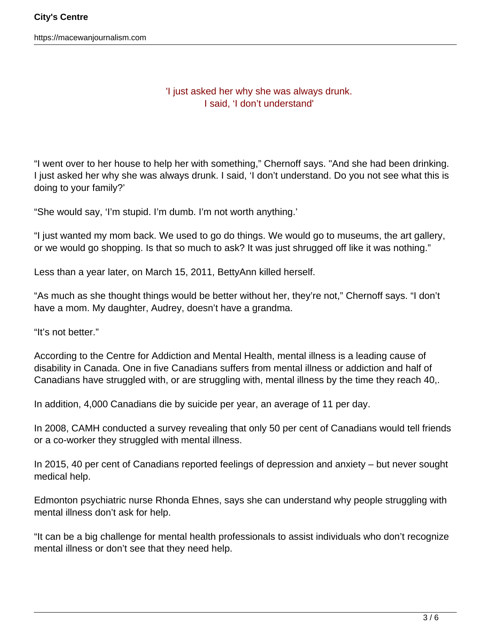https://macewanjournalism.com

### 'I just asked her why she was always drunk. I said, 'I don't understand'

"I went over to her house to help her with something," Chernoff says. "And she had been drinking. I just asked her why she was always drunk. I said, 'I don't understand. Do you not see what this is doing to your family?'

"She would say, 'I'm stupid. I'm dumb. I'm not worth anything.'

"I just wanted my mom back. We used to go do things. We would go to museums, the art gallery, or we would go shopping. Is that so much to ask? It was just shrugged off like it was nothing."

Less than a year later, on March 15, 2011, BettyAnn killed herself.

"As much as she thought things would be better without her, they're not," Chernoff says. "I don't have a mom. My daughter, Audrey, doesn't have a grandma.

"It's not better."

According to the Centre for Addiction and Mental Health, mental illness is a leading cause of disability in Canada. One in five Canadians suffers from mental illness or addiction and half of Canadians have struggled with, or are struggling with, mental illness by the time they reach 40,.

In addition, 4,000 Canadians die by suicide per year, an average of 11 per day.

In 2008, CAMH conducted a survey revealing that only 50 per cent of Canadians would tell friends or a co-worker they struggled with mental illness.

In 2015, 40 per cent of Canadians reported feelings of depression and anxiety – but never sought medical help.

Edmonton psychiatric nurse Rhonda Ehnes, says she can understand why people struggling with mental illness don't ask for help.

"It can be a big challenge for mental health professionals to assist individuals who don't recognize mental illness or don't see that they need help.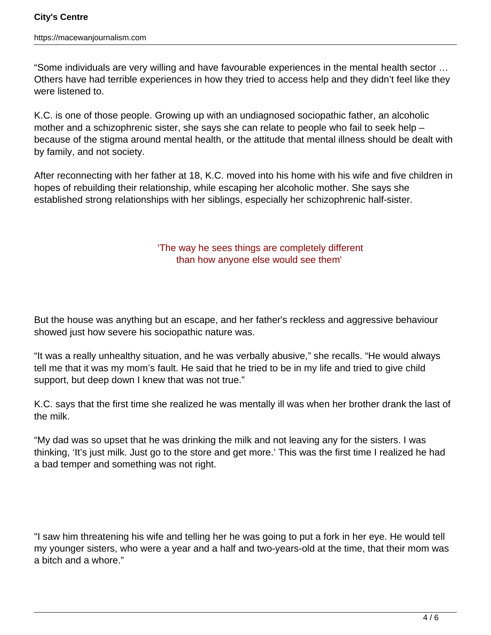"Some individuals are very willing and have favourable experiences in the mental health sector … Others have had terrible experiences in how they tried to access help and they didn't feel like they were listened to.

K.C. is one of those people. Growing up with an undiagnosed sociopathic father, an alcoholic mother and a schizophrenic sister, she says she can relate to people who fail to seek help – because of the stigma around mental health, or the attitude that mental illness should be dealt with by family, and not society.

After reconnecting with her father at 18, K.C. moved into his home with his wife and five children in hopes of rebuilding their relationship, while escaping her alcoholic mother. She says she established strong relationships with her siblings, especially her schizophrenic half-sister.

## 'The way he sees things are completely different than how anyone else would see them'

But the house was anything but an escape, and her father's reckless and aggressive behaviour showed just how severe his sociopathic nature was.

"It was a really unhealthy situation, and he was verbally abusive," she recalls. "He would always tell me that it was my mom's fault. He said that he tried to be in my life and tried to give child support, but deep down I knew that was not true."

K.C. says that the first time she realized he was mentally ill was when her brother drank the last of the milk.

"My dad was so upset that he was drinking the milk and not leaving any for the sisters. I was thinking, 'It's just milk. Just go to the store and get more.' This was the first time I realized he had a bad temper and something was not right.

"I saw him threatening his wife and telling her he was going to put a fork in her eye. He would tell my younger sisters, who were a year and a half and two-years-old at the time, that their mom was a bitch and a whore."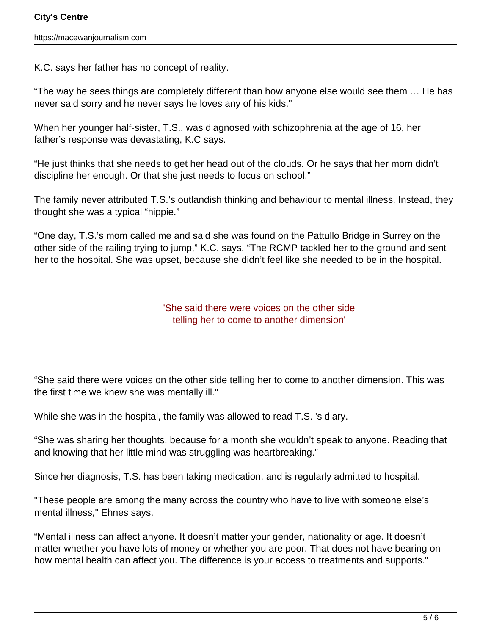K.C. says her father has no concept of reality.

"The way he sees things are completely different than how anyone else would see them … He has never said sorry and he never says he loves any of his kids."

When her younger half-sister, T.S., was diagnosed with schizophrenia at the age of 16, her father's response was devastating, K.C says.

"He just thinks that she needs to get her head out of the clouds. Or he says that her mom didn't discipline her enough. Or that she just needs to focus on school."

The family never attributed T.S.'s outlandish thinking and behaviour to mental illness. Instead, they thought she was a typical "hippie."

"One day, T.S.'s mom called me and said she was found on the Pattullo Bridge in Surrey on the other side of the railing trying to jump," K.C. says. "The RCMP tackled her to the ground and sent her to the hospital. She was upset, because she didn't feel like she needed to be in the hospital.

### 'She said there were voices on the other side telling her to come to another dimension'

"She said there were voices on the other side telling her to come to another dimension. This was the first time we knew she was mentally ill."

While she was in the hospital, the family was allowed to read T.S. 's diary.

"She was sharing her thoughts, because for a month she wouldn't speak to anyone. Reading that and knowing that her little mind was struggling was heartbreaking."

Since her diagnosis, T.S. has been taking medication, and is regularly admitted to hospital.

"These people are among the many across the country who have to live with someone else's mental illness," Ehnes says.

"Mental illness can affect anyone. It doesn't matter your gender, nationality or age. It doesn't matter whether you have lots of money or whether you are poor. That does not have bearing on how mental health can affect you. The difference is your access to treatments and supports."